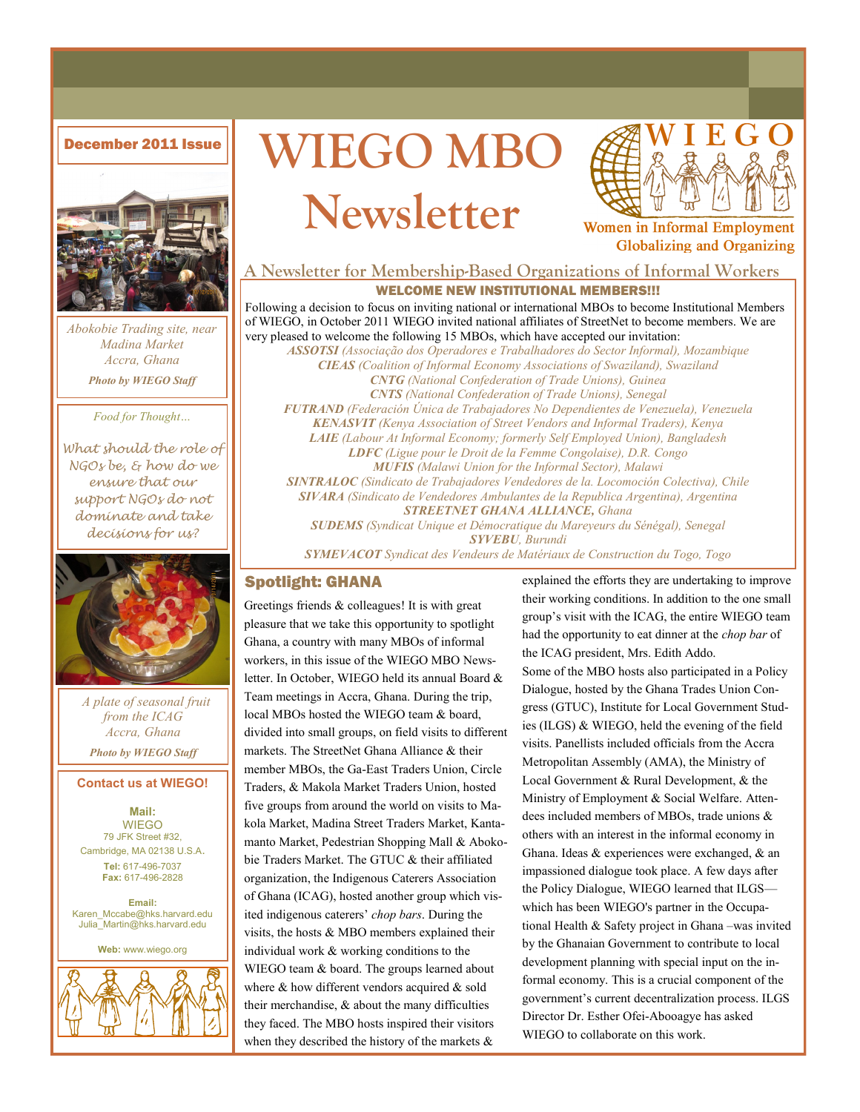

*Abokobie Trading site, near Madina Market Accra, Ghana Photo by WIEGO Staff*

*Food for Thought…*

*What should the role of NGOs be, & how do we ensure that our support NGOs do not dominate and take decisions for us?*



 *A plate of seasonal fruit from the ICAG Accra, Ghana Photo by WIEGO Staff*

### **Contact us at WIEGO!**

**Mail: WIEGO** 79 JFK Street #32, Cambridge, MA 02138 U.S.A. **Tel:** 617-496-7037 **Fax:** 617-496-2828

**Email:**  Karen\_Mccabe@hks.harvard.edu Julia\_Martin@hks.harvard.edu

**Web:** www.wiego.org







Women in Informal Employment **Globalizing and Organizing** 

# **A Newsletter for Membership-Based Organizations of Informal Workers**

### WELCOME NEW INSTITUTIONAL MEMBERS!!!

Following a decision to focus on inviting national or international MBOs to become Institutional Members of WIEGO, in October 2011 WIEGO invited national affiliates of StreetNet to become members. We are very pleased to welcome the following 15 MBOs, which have accepted our invitation:

*ASSOTSI (Associação dos Operadores e Trabalhadores do Sector Informal), Mozambique CIEAS (Coalition of Informal Economy Associations of Swaziland), Swaziland CNTG (National Confederation of Trade Unions), Guinea CNTS (National Confederation of Trade Unions), Senegal FUTRAND (Federación Única de Trabajadores No Dependientes de Venezuela), Venezuela KENASVIT (Kenya Association of Street Vendors and Informal Traders), Kenya LAIE (Labour At Informal Economy; formerly Self Employed Union), Bangladesh LDFC (Ligue pour le Droit de la Femme Congolaise), D.R. Congo MUFIS (Malawi Union for the Informal Sector), Malawi SINTRALOC (Sindicato de Trabajadores Vendedores de la. Locomoción Colectiva), Chile SIVARA (Sindicato de Vendedores Ambulantes de la Republica Argentina), Argentina STREETNET GHANA ALLIANCE, Ghana SUDEMS (Syndicat Unique et Démocratique du Mareyeurs du Sénégal), Senegal SYVEBU, Burundi*

*SYMEVACOT Syndicat des Vendeurs de Matériaux de Construction du Togo, Togo*

### Spotlight: GHANA

Greetings friends & colleagues! It is with great pleasure that we take this opportunity to spotlight Ghana, a country with many MBOs of informal workers, in this issue of the WIEGO MBO Newsletter. In October, WIEGO held its annual Board & Team meetings in Accra, Ghana. During the trip, local MBOs hosted the WIEGO team & board, divided into small groups, on field visits to different markets. The StreetNet Ghana Alliance & their member MBOs, the Ga-East Traders Union, Circle Traders, & Makola Market Traders Union, hosted five groups from around the world on visits to Makola Market, Madina Street Traders Market, Kantamanto Market, Pedestrian Shopping Mall & Abokobie Traders Market. The GTUC & their affiliated organization, the Indigenous Caterers Association of Ghana (ICAG), hosted another group which visited indigenous caterers' *chop bars*. During the visits, the hosts & MBO members explained their individual work & working conditions to the WIEGO team & board. The groups learned about where & how different vendors acquired & sold their merchandise, & about the many difficulties they faced. The MBO hosts inspired their visitors when they described the history of the markets &

explained the efforts they are undertaking to improve their working conditions. In addition to the one small group's visit with the ICAG, the entire WIEGO team had the opportunity to eat dinner at the *chop bar* of the ICAG president, Mrs. Edith Addo. Some of the MBO hosts also participated in a Policy Dialogue, hosted by the Ghana Trades Union Congress (GTUC), Institute for Local Government Studies (ILGS) & WIEGO, held the evening of the field visits. Panellists included officials from the Accra Metropolitan Assembly (AMA), the Ministry of Local Government & Rural Development, & the Ministry of Employment & Social Welfare. Attendees included members of MBOs, trade unions & others with an interest in the informal economy in Ghana. Ideas & experiences were exchanged, & an impassioned dialogue took place. A few days after the Policy Dialogue, WIEGO learned that ILGS which has been WIEGO's partner in the Occupational Health & Safety project in Ghana –was invited by the Ghanaian Government to contribute to local development planning with special input on the informal economy. This is a crucial component of the government's current decentralization process. ILGS Director Dr. Esther Ofei-Abooagye has asked WIEGO to collaborate on this work.